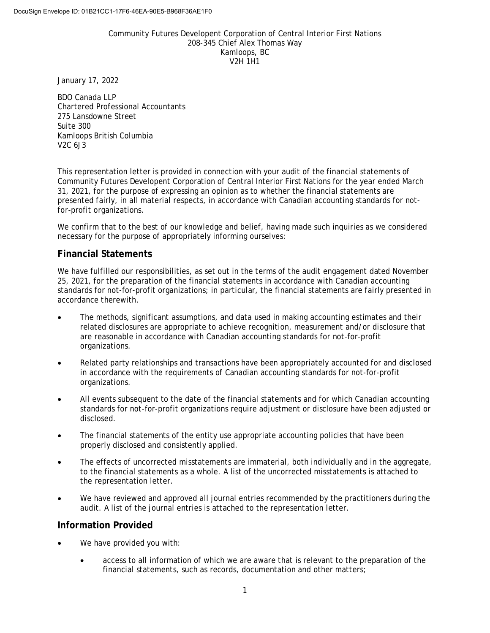## Community Futures Developent Corporation of Central Interior First Nations 208-345 Chief Alex Thomas Way Kamloops, BC V2H 1H1

January 17, 2022

BDO Canada LLP Chartered Professional Accountants 275 Lansdowne Street Suite 300 Kamloops British Columbia V2C 6J3

This representation letter is provided in connection with your audit of the financial statements of Community Futures Developent Corporation of Central Interior First Nations for the year ended March 31, 2021, for the purpose of expressing an opinion as to whether the financial statements are presented fairly, in all material respects, in accordance with Canadian accounting standards for notfor-profit organizations.

We confirm that to the best of our knowledge and belief, having made such inquiries as we considered necessary for the purpose of appropriately informing ourselves:

# **Financial Statements**

We have fulfilled our responsibilities, as set out in the terms of the audit engagement dated November 25, 2021, for the preparation of the financial statements in accordance with Canadian accounting standards for not-for-profit organizations; in particular, the financial statements are fairly presented in accordance therewith.

- The methods, significant assumptions, and data used in making accounting estimates and their related disclosures are appropriate to achieve recognition, measurement and/or disclosure that are reasonable in accordance with Canadian accounting standards for not-for-profit organizations.
- Related party relationships and transactions have been appropriately accounted for and disclosed in accordance with the requirements of Canadian accounting standards for not-for-profit organizations.
- All events subsequent to the date of the financial statements and for which Canadian accounting standards for not-for-profit organizations require adjustment or disclosure have been adjusted or disclosed.
- The financial statements of the entity use appropriate accounting policies that have been properly disclosed and consistently applied.
- The effects of uncorrected misstatements are immaterial, both individually and in the aggregate, to the financial statements as a whole. A list of the uncorrected misstatements is attached to the representation letter.
- We have reviewed and approved all journal entries recommended by the practitioners during the audit. A list of the journal entries is attached to the representation letter.

# **Information Provided**

- We have provided you with:
	- access to all information of which we are aware that is relevant to the preparation of the financial statements, such as records, documentation and other matters;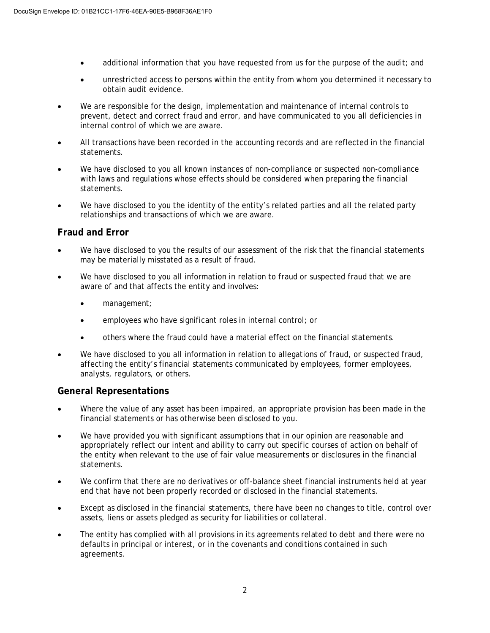- additional information that you have requested from us for the purpose of the audit; and
- unrestricted access to persons within the entity from whom you determined it necessary to obtain audit evidence.
- We are responsible for the design, implementation and maintenance of internal controls to prevent, detect and correct fraud and error, and have communicated to you all deficiencies in internal control of which we are aware.
- All transactions have been recorded in the accounting records and are reflected in the financial statements.
- We have disclosed to you all known instances of non-compliance or suspected non-compliance with laws and regulations whose effects should be considered when preparing the financial statements.
- We have disclosed to you the identity of the entity's related parties and all the related party relationships and transactions of which we are aware.

# **Fraud and Error**

- We have disclosed to you the results of our assessment of the risk that the financial statements may be materially misstated as a result of fraud.
- We have disclosed to you all information in relation to fraud or suspected fraud that we are aware of and that affects the entity and involves:
	- management;
	- employees who have significant roles in internal control; or
	- others where the fraud could have a material effect on the financial statements.
- We have disclosed to you all information in relation to allegations of fraud, or suspected fraud, affecting the entity's financial statements communicated by employees, former employees, analysts, regulators, or others.

# **General Representations**

- Where the value of any asset has been impaired, an appropriate provision has been made in the financial statements or has otherwise been disclosed to you.
- We have provided you with significant assumptions that in our opinion are reasonable and appropriately reflect our intent and ability to carry out specific courses of action on behalf of the entity when relevant to the use of fair value measurements or disclosures in the financial statements.
- We confirm that there are no derivatives or off-balance sheet financial instruments held at year end that have not been properly recorded or disclosed in the financial statements.
- Except as disclosed in the financial statements, there have been no changes to title, control over assets, liens or assets pledged as security for liabilities or collateral.
- The entity has complied with all provisions in its agreements related to debt and there were no defaults in principal or interest, or in the covenants and conditions contained in such agreements.